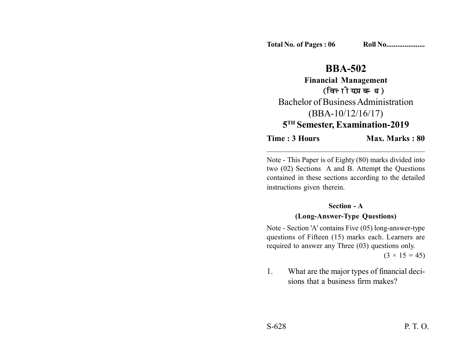# **BBA-502**

**Financial Management** (वित्तीय प्रबन्ध) Bachelor of Business Administration (BBA-10/12/16/17) **5TH Semester, Examination-2019**

**Time : 3 Hours Max. Marks : 80** 

Note - This Paper is of Eighty (80) marks divided into two (02) Sections A and B. Attempt the Questions contained in these sections according to the detailed instructions given therein.

\_\_\_\_\_\_\_\_\_\_\_\_\_\_\_\_\_\_\_\_\_\_\_\_\_\_\_\_\_\_\_\_\_\_\_\_\_\_\_\_\_

#### **Section - A**

#### **(Long-Answer-Type Questions)**

Note - Section 'A' contains Five (05) long-answer-type questions of Fifteen (15) marks each. Learners are required to answer any Three (03) questions only.

 $(3 \times 15 = 45)$ 

1. What are the major types of financial decisions that a business firm makes?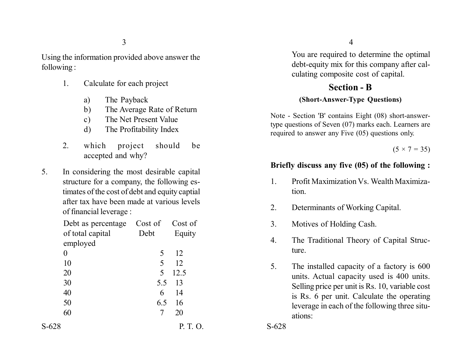3

Using the information provided above answer the following :

- 1. Calculate for each project
	- a) The Payback
	- b) The Average Rate of Return
	- c) The Net Present Value
	- d) The Profitability Index
- 2. which project should be accepted and why?
- 5. In considering the most desirable capital structure for a company, the following estimates of the cost of debt and equity captial after tax have been made at various levels of financial leverage :

| Debt as percentage           | Cost of | Cost of  | 3.    |
|------------------------------|---------|----------|-------|
| of total capital<br>employed | Debt    | Equity   |       |
| $\boldsymbol{0}$             | 5       | 12       |       |
| 10                           | 5       | 12       | 5.    |
| 20                           | 5       | 12.5     |       |
| 30                           |         | 5.5 13   |       |
| 40                           | 6       | 14       |       |
| 50                           | 6.5     | 16       |       |
| 60                           | 7       | 20       |       |
| $S-628$                      |         | P. T. O. | S-628 |

4

You are required to determine the optimal debt-equity mix for this company after calculating composite cost of capital.

## **Section - B (Short-Answer-Type Questions)**

Note - Section 'B' contains Eight (08) short-answertype questions of Seven (07) marks each. Learners are required to answer any Five (05) questions only.

 $(5 \times 7 = 35)$ 

### **Briefly discuss any five (05) of the following :**

- 1. Profit Maximization Vs. Wealth Maximization.
- 2. Determinants of Working Capital.
- 3. Motives of Holding Cash.
- 4. The Traditional Theory of Capital Structure.
- 5. The installed capacity of a factory is 600 units. Actual capacity used is 400 units. Selling price per unit is Rs. 10, variable cost is Rs. 6 per unit. Calculate the operating leverage in each of the following three situations: